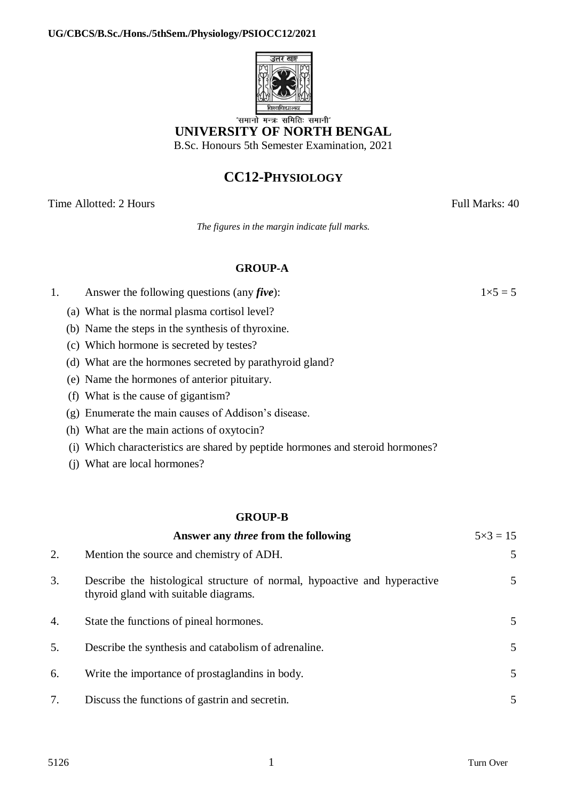

'समानो मन्त्रः समितिः समानी' **UNIVERSITY OF NORTH BENGAL** B.Sc. Honours 5th Semester Examination, 2021

## **CC12-PHYSIOLOGY**

Time Allotted: 2 Hours Full Marks: 40

*The figures in the margin indicate full marks.*

## **GROUP-A**

- 1. Answer the following questions (any *five*):  $1 \times 5 = 5$ 
	- (a) What is the normal plasma cortisol level?
	- (b) Name the steps in the synthesis of thyroxine.
	- (c) Which hormone is secreted by testes?
	- (d) What are the hormones secreted by parathyroid gland?
	- (e) Name the hormones of anterior pituitary.
	- (f) What is the cause of gigantism?
	- (g) Enumerate the main causes of Addison's disease.
	- (h) What are the main actions of oxytocin?
	- (i) Which characteristics are shared by peptide hormones and steroid hormones?
	- (j) What are local hormones?

## **GROUP-B**

|    | Answer any <i>three</i> from the following                                                                         | $5 \times 3 = 15$ |
|----|--------------------------------------------------------------------------------------------------------------------|-------------------|
| 2. | Mention the source and chemistry of ADH.                                                                           | 5                 |
| 3. | Describe the histological structure of normal, hypoactive and hyperactive<br>thyroid gland with suitable diagrams. | 5                 |
| 4. | State the functions of pineal hormones.                                                                            | 5                 |
| 5. | Describe the synthesis and catabolism of adrenaline.                                                               | 5                 |
| 6. | Write the importance of prostaglandins in body.                                                                    | 5                 |
| 7. | Discuss the functions of gastrin and secretin.                                                                     | 5                 |